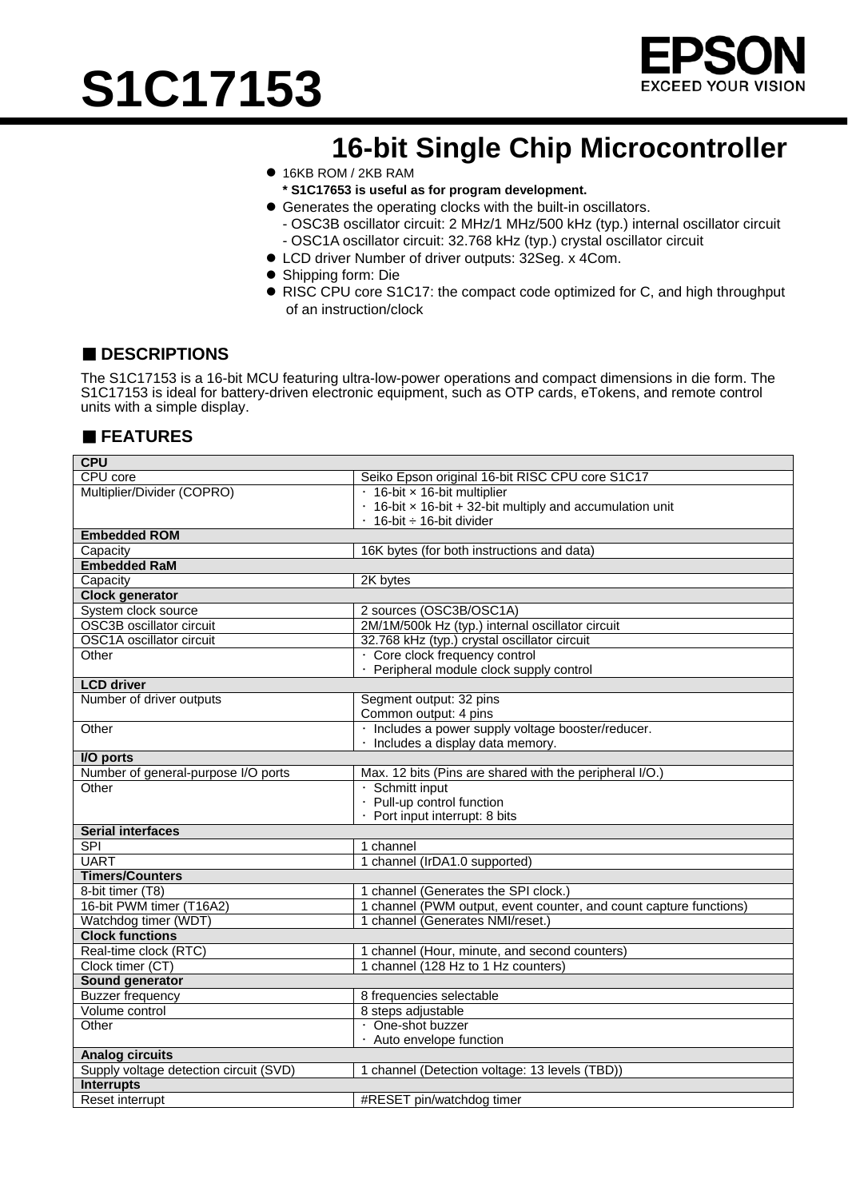



## **16-bit Single Chip Microcontroller**

- 16KB ROM / 2KB RAM
- **\* S1C17653 is useful as for program development.**
- Generates the operating clocks with the built-in oscillators.
	- OSC3B oscillator circuit: 2 MHz/1 MHz/500 kHz (typ.) internal oscillator circuit - OSC1A oscillator circuit: 32.768 kHz (typ.) crystal oscillator circuit
- LCD driver Number of driver outputs: 32Seg. x 4Com.
- Shipping form: Die
- RISC CPU core S1C17: the compact code optimized for C, and high throughput of an instruction/clock

#### ■ **DESCRIPTIONS**

The S1C17153 is a 16-bit MCU featuring ultra-low-power operations and compact dimensions in die form. The S1C17153 is ideal for battery-driven electronic equipment, such as OTP cards, eTokens, and remote control units with a simple display.

### ■ **FEATURES**

| <b>CPU</b>                             |                                                                        |  |
|----------------------------------------|------------------------------------------------------------------------|--|
| CPU core                               | Seiko Epson original 16-bit RISC CPU core S1C17                        |  |
| Multiplier/Divider (COPRO)             | · 16-bit x 16-bit multiplier                                           |  |
|                                        | $\cdot$ 16-bit $\times$ 16-bit + 32-bit multiply and accumulation unit |  |
|                                        | $\cdot$ 16-bit $\div$ 16-bit divider                                   |  |
| <b>Embedded ROM</b>                    |                                                                        |  |
| Capacity                               | 16K bytes (for both instructions and data)                             |  |
| <b>Embedded RaM</b>                    |                                                                        |  |
| Capacity                               | 2K bytes                                                               |  |
| <b>Clock generator</b>                 |                                                                        |  |
| System clock source                    | 2 sources (OSC3B/OSC1A)                                                |  |
| <b>OSC3B oscillator circuit</b>        | 2M/1M/500k Hz (typ.) internal oscillator circuit                       |  |
| OSC1A oscillator circuit               | 32.768 kHz (typ.) crystal oscillator circuit                           |  |
| Other                                  | · Core clock frequency control                                         |  |
|                                        | · Peripheral module clock supply control                               |  |
| <b>LCD</b> driver                      |                                                                        |  |
| Number of driver outputs               | Segment output: 32 pins                                                |  |
|                                        | Common output: 4 pins                                                  |  |
| Other                                  | · Includes a power supply voltage booster/reducer.                     |  |
|                                        | · Includes a display data memory.                                      |  |
| I/O ports                              |                                                                        |  |
| Number of general-purpose I/O ports    | Max. 12 bits (Pins are shared with the peripheral I/O.)                |  |
| Other                                  | · Schmitt input                                                        |  |
|                                        | · Pull-up control function                                             |  |
|                                        | · Port input interrupt: 8 bits                                         |  |
| <b>Serial interfaces</b>               |                                                                        |  |
| SPI                                    | 1 channel                                                              |  |
| <b>UART</b>                            | 1 channel (IrDA1.0 supported)                                          |  |
| <b>Timers/Counters</b>                 |                                                                        |  |
| 8-bit timer (T8)                       | 1 channel (Generates the SPI clock.)                                   |  |
| 16-bit PWM timer (T16A2)               | 1 channel (PWM output, event counter, and count capture functions)     |  |
| Watchdog timer (WDT)                   | 1 channel (Generates NMI/reset.)                                       |  |
| <b>Clock functions</b>                 |                                                                        |  |
| Real-time clock (RTC)                  | 1 channel (Hour, minute, and second counters)                          |  |
| Clock timer (CT)                       | 1 channel (128 Hz to 1 Hz counters)                                    |  |
| Sound generator                        |                                                                        |  |
| <b>Buzzer frequency</b>                | 8 frequencies selectable                                               |  |
| Volume control                         | 8 steps adjustable                                                     |  |
| Other                                  | · One-shot buzzer                                                      |  |
|                                        | · Auto envelope function                                               |  |
| <b>Analog circuits</b>                 |                                                                        |  |
| Supply voltage detection circuit (SVD) | 1 channel (Detection voltage: 13 levels (TBD))                         |  |
| <b>Interrupts</b>                      |                                                                        |  |
| Reset interrupt                        | #RESET pin/watchdog timer                                              |  |
|                                        |                                                                        |  |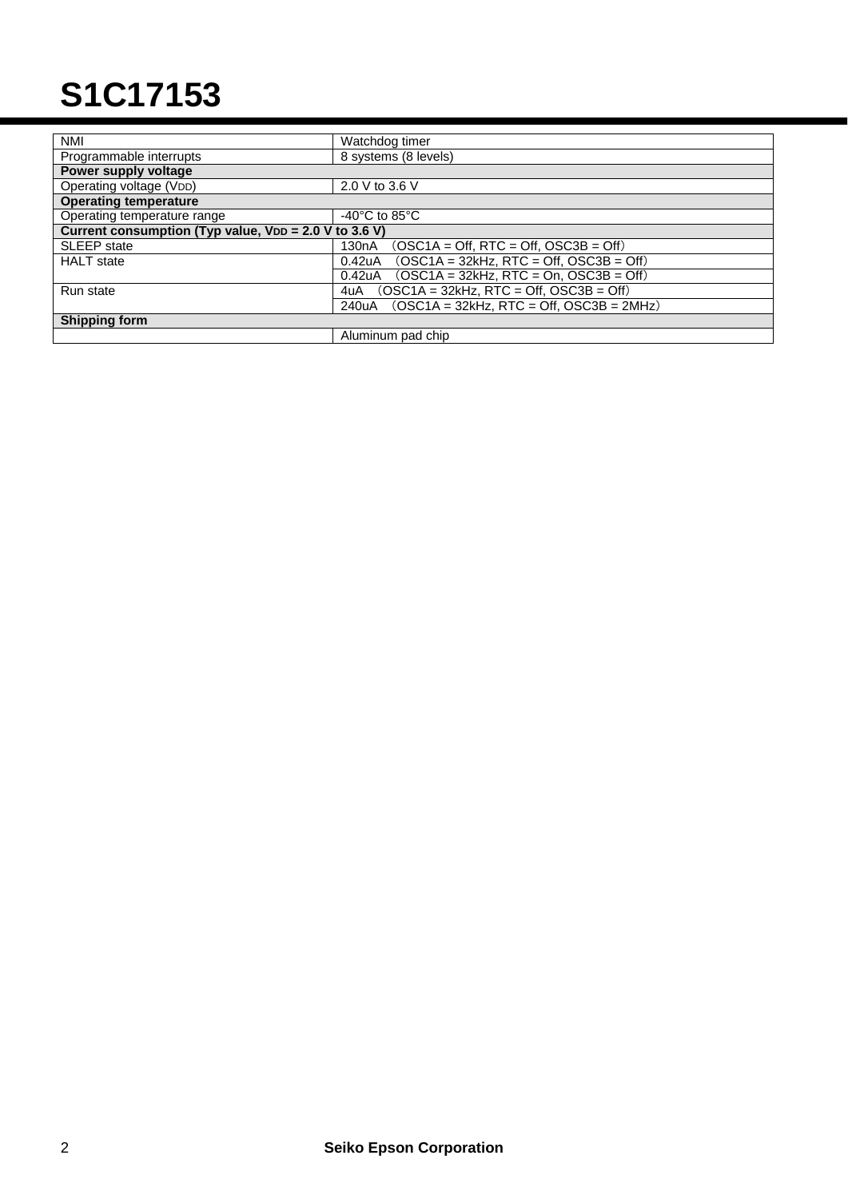# **S1C17153**

| <b>NMI</b>                                            | Watchdog timer                                                   |
|-------------------------------------------------------|------------------------------------------------------------------|
| Programmable interrupts                               | 8 systems (8 levels)                                             |
| Power supply voltage                                  |                                                                  |
| Operating voltage (VDD)                               | 2.0 V to 3.6 V                                                   |
| <b>Operating temperature</b>                          |                                                                  |
| Operating temperature range                           | -40 $^{\circ}$ C to 85 $^{\circ}$ C                              |
| Current consumption (Typ value, VDD = 2.0 V to 3.6 V) |                                                                  |
| <b>SLEEP</b> state                                    | $(OSC1A = Off, RTC = Off, OSC3B = Off)$<br>130 <sub>n</sub> A    |
| <b>HALT</b> state                                     | $(OSC1A = 32kHz, RTC = Off, OSC3B = Off)$<br>0.42 <sub>u</sub> A |
|                                                       | $(OSC1A = 32kHz, RTC = On, OSC3B = Off)$<br>0.42uA               |
| Run state                                             | $(OSC1A = 32kHz, RTC = Off, OSC3B = Off)$<br>4uA                 |
|                                                       | $OSC1A = 32kHz$ . RTC = Off. OSC3B = 2MHz)<br>240uA              |
| <b>Shipping form</b>                                  |                                                                  |
|                                                       | Aluminum pad chip                                                |